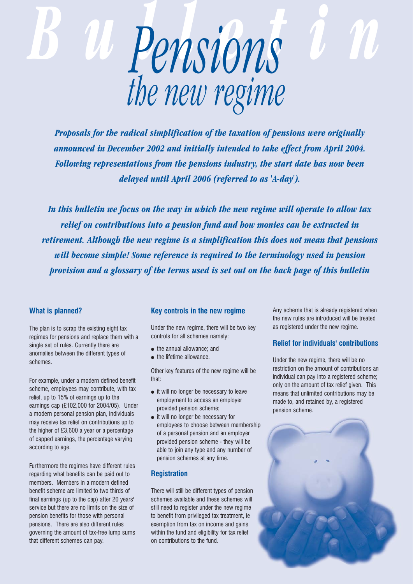

*Proposals for the radical simplification of the taxation of pensions were originally announced in December 2002 and initially intended to take effect from April 2004. Following representations from the pensions industry, the start date has now been delayed until April 2006 (referred to as 'A-day').*

*In this bulletin we focus on the way in which the new regime will operate to allow tax relief on contributions into a pension fund and how monies can be extracted in retirement. Although the new regime is a simplification this does not mean that pensions will become simple! Some reference is required to the terminology used in pension provision and a glossary of the terms used is set out on the back page of this bulletin*

## **What is planned?**

The plan is to scrap the existing eight tax regimes for pensions and replace them with a single set of rules. Currently there are anomalies between the different types of schemes.

For example, under a modern defined benefit scheme, employees may contribute, with tax relief, up to 15% of earnings up to the earnings cap (£102,000 for 2004/05). Under a modern personal pension plan, individuals may receive tax relief on contributions up to the higher of £3,600 a year or a percentage of capped earnings, the percentage varying according to age.

Furthermore the regimes have different rules regarding what benefits can be paid out to members. Members in a modern defined benefit scheme are limited to two thirds of final earnings (up to the cap) after 20 years' service but there are no limits on the size of pension benefits for those with personal pensions. There are also different rules governing the amount of tax-free lump sums that different schemes can pay.

### **Key controls in the new regime**

Under the new regime, there will be two key controls for all schemes namely:

- the annual allowance; and
- the lifetime allowance.

Other key features of the new regime will be that:

- it will no longer be necessary to leave employment to access an employer provided pension scheme;
- it will no longer be necessary for employees to choose between membership of a personal pension and an employer provided pension scheme - they will be able to join any type and any number of pension schemes at any time.

# **Registration**

There will still be different types of pension schemes available and these schemes will still need to register under the new regime to benefit from privileged tax treatment, ie exemption from tax on income and gains within the fund and eligibility for tax relief on contributions to the fund.

Any scheme that is already registered when the new rules are introduced will be treated as registered under the new regime.

## **Relief for individuals' contributions**

Under the new regime, there will be no restriction on the amount of contributions an individual can pay into a registered scheme; only on the amount of tax relief given. This means that unlimited contributions may be made to, and retained by, a registered pension scheme.

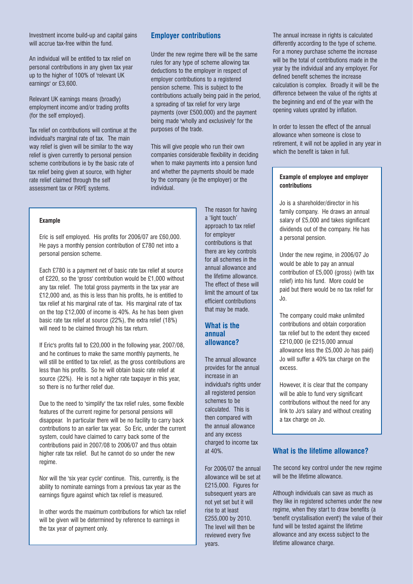Investment income build-up and capital gains will accrue tax-free within the fund.

An individual will be entitled to tax relief on personal contributions in any given tax year up to the higher of 100% of 'relevant UK earnings' or £3,600.

Relevant UK earnings means (broadly) employment income and/or trading profits (for the self employed).

Tax relief on contributions will continue at the individual's marginal rate of tax. The main way relief is given will be similar to the way relief is given currently to personal pension scheme contributions ie by the basic rate of tax relief being given at source, with higher rate relief claimed through the self assessment tax or PAYE systems.

# **Employer contributions**

Under the new regime there will be the same rules for any type of scheme allowing tax deductions to the employer in respect of employer contributions to a registered pension scheme. This is subject to the contributions actually being paid in the period, a spreading of tax relief for very large payments (over £500,000) and the payment being made 'wholly and exclusively' for the purposes of the trade.

This will give people who run their own companies considerable flexibility in deciding when to make payments into a pension fund and whether the payments should be made by the company (ie the employer) or the individual.

#### **Example**

Eric is self employed. His profits for 2006/07 are £60,000. He pays a monthly pension contribution of £780 net into a personal pension scheme.

Each £780 is a payment net of basic rate tax relief at source of £220, so the 'gross' contribution would be £1,000 without any tax relief. The total gross payments in the tax year are £12,000 and, as this is less than his profits, he is entitled to tax relief at his marginal rate of tax. His marginal rate of tax on the top £12,000 of income is 40%. As he has been given basic rate tax relief at source (22%), the extra relief (18%) will need to be claimed through his tax return.

If Eric's profits fall to £20,000 in the following year, 2007/08, and he continues to make the same monthly payments, he will still be entitled to tax relief, as the gross contributions are less than his profits. So he will obtain basic rate relief at source (22%). He is not a higher rate taxpayer in this year. so there is no further relief due.

Due to the need to 'simplify' the tax relief rules, some flexible features of the current regime for personal pensions will disappear. In particular there will be no facility to carry back contributions to an earlier tax year. So Eric, under the current system, could have claimed to carry back some of the contributions paid in 2007/08 to 2006/07 and thus obtain higher rate tax relief. But he cannot do so under the new regime.

Nor will the 'six year cycle' continue. This, currently, is the ability to nominate earnings from a previous tax year as the earnings figure against which tax relief is measured.

In other words the maximum contributions for which tax relief will be given will be determined by reference to earnings in the tax year of payment only.

The reason for having a 'light touch' approach to tax relief for employer contributions is that there are key controls for all schemes in the annual allowance and the lifetime allowance. The effect of these will limit the amount of tax efficient contributions that may be made.

## **What is the annual allowance?**

The annual allowance provides for the annual increase in an individual's rights under all registered pension schemes to be calculated. This is then compared with the annual allowance and any excess charged to income tax at 40%.

For 2006/07 the annual allowance will be set at £215,000. Figures for subsequent years are not yet set but it will rise to at least £255,000 by 2010. The level will then be reviewed every five years.

The annual increase in rights is calculated differently according to the type of scheme. For a money purchase scheme the increase will be the total of contributions made in the year by the individual and any employer. For defined benefit schemes the increase calculation is complex. Broadly it will be the difference between the value of the rights at the beginning and end of the year with the opening values uprated by inflation.

In order to lessen the effect of the annual allowance when someone is close to retirement, it will not be applied in any year in which the benefit is taken in full.

#### **Example of employee and employer contributions**

Jo is a shareholder/director in his family company. He draws an annual salary of £5,000 and takes significant dividends out of the company. He has a personal pension.

Under the new regime, in 2006/07 Jo would be able to pay an annual contribution of £5,000 (gross) (with tax relief) into his fund. More could be paid but there would be no tax relief for Jo.

The company could make unlimited contributions and obtain corporation tax relief but to the extent they exceed £210,000 (ie £215,000 annual allowance less the £5,000 Jo has paid) Jo will suffer a 40% tax charge on the excess.

However, it is clear that the company will be able to fund very significant contributions without the need for any link to Jo's salary and without creating a tax charge on Jo.

#### **What is the lifetime allowance?**

The second key control under the new regime will be the lifetime allowance.

Although individuals can save as much as they like in registered schemes under the new regime, when they start to draw benefits (a 'benefit crystallisation event') the value of their fund will be tested against the lifetime allowance and any excess subject to the lifetime allowance charge.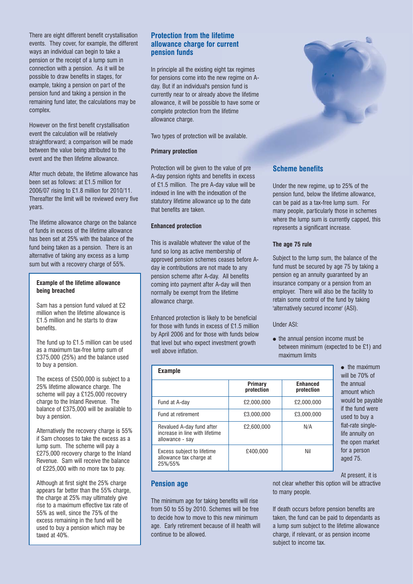There are eight different benefit crystallisation events. They cover, for example, the different ways an individual can begin to take a pension or the receipt of a lump sum in connection with a pension. As it will be possible to draw benefits in stages, for example, taking a pension on part of the pension fund and taking a pension in the remaining fund later, the calculations may be complex.

However on the first benefit crystallisation event the calculation will be relatively straightforward; a comparison will be made between the value being attributed to the event and the then lifetime allowance.

After much debate, the lifetime allowance has been set as follows: at £1.5 million for 2006/07 rising to £1.8 million for 2010/11. Thereafter the limit will be reviewed every five years.

The lifetime allowance charge on the balance of funds in excess of the lifetime allowance has been set at 25% with the balance of the fund being taken as a pension. There is an alternative of taking any excess as a lump sum but with a recovery charge of 55%.

#### **Example of the lifetime allowance being breached**

Sam has a pension fund valued at £2 million when the lifetime allowance is £1.5 million and he starts to draw benefits.

The fund up to £1.5 million can be used as a maximum tax-free lump sum of £375,000 (25%) and the balance used to buy a pension.

The excess of £500,000 is subject to a 25% lifetime allowance charge. The scheme will pay a £125,000 recovery charge to the Inland Revenue. The balance of £375,000 will be available to buy a pension.

Alternatively the recovery charge is 55% if Sam chooses to take the excess as a lump sum. The scheme will pay a £275,000 recovery charge to the Inland Revenue. Sam will receive the balance of £225,000 with no more tax to pay.

Although at first sight the 25% charge appears far better than the 55% charge, the charge at 25% may ultimately give rise to a maximum effective tax rate of 55% as well, since the 75% of the excess remaining in the fund will be used to buy a pension which may be taxed at 40%.

# **Protection from the lifetime allowance charge for current pension funds**

In principle all the existing eight tax regimes for pensions come into the new regime on Aday. But if an individual's pension fund is currently near to or already above the lifetime allowance, it will be possible to have some or complete protection from the lifetime allowance charge.

Two types of protection will be available.

#### **Primary protection**

Protection will be given to the value of pre A-day pension rights and benefits in excess of £1.5 million. The pre A-day value will be indexed in line with the indexation of the statutory lifetime allowance up to the date that benefits are taken.

### **Enhanced protection**

This is available whatever the value of the fund so long as active membership of approved pension schemes ceases before Aday ie contributions are not made to any pension scheme after A-day. All benefits coming into payment after A-day will then normally be exempt from the lifetime allowance charge.

Enhanced protection is likely to be beneficial for those with funds in excess of £1.5 million by April 2006 and for those with funds below that level but who expect investment growth well above inflation.

| <b>Example</b>                                                                 |                       |                               |
|--------------------------------------------------------------------------------|-----------------------|-------------------------------|
|                                                                                | Primary<br>protection | <b>Enhanced</b><br>protection |
| Fund at A-day                                                                  | £2,000,000            | £2.000.000                    |
| Fund at retirement                                                             | £3.000.000            | £3.000.000                    |
| Revalued A-day fund after<br>increase in line with lifetime<br>allowance - say | £2.600.000            | N/A                           |
| Excess subject to lifetime<br>allowance tax charge at<br>25%/55%               | £400.000              | Nil                           |

● the maximum will be 70% of the annual amount which would be payable if the fund were used to buy a flat-rate singlelife annuity on the open market for a person aged 75.

At present, it is

## **Pension age**

The minimum age for taking benefits will rise from 50 to 55 by 2010. Schemes will be free to decide how to move to this new minimum age. Early retirement because of ill health will continue to be allowed.

not clear whether this option will be attractive to many people.

If death occurs before pension benefits are taken, the fund can be paid to dependants as a lump sum subject to the lifetime allowance charge, if relevant, or as pension income subject to income tax.



# **Scheme benefits**

Under the new regime, up to 25% of the pension fund, below the lifetime allowance, can be paid as a tax-free lump sum. For many people, particularly those in schemes where the lump sum is currently capped, this represents a significant increase.

## **The age 75 rule**

Subject to the lump sum, the balance of the fund must be secured by age 75 by taking a pension eg an annuity guaranteed by an insurance company or a pension from an employer. There will also be the facility to retain some control of the fund by taking 'alternatively secured income' (ASI).

Under ASI:

● the annual pension income must be between minimum (expected to be £1) and maximum limits